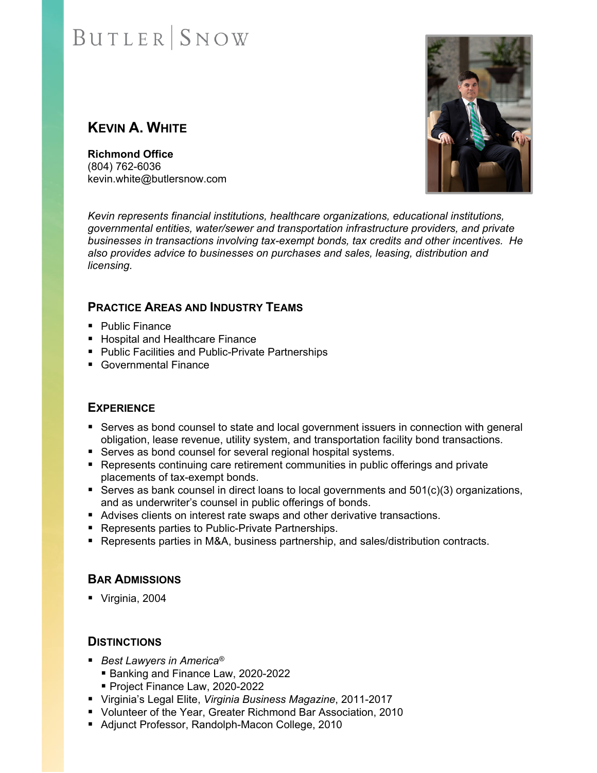# **BUTLER** SNOW

## **KEVIN A. WHITE**

**Richmond Office**  (804) 762-6036 kevin.white@butlersnow.com



*Kevin represents financial institutions, healthcare organizations, educational institutions, governmental entities, water/sewer and transportation infrastructure providers, and private businesses in transactions involving tax-exempt bonds, tax credits and other incentives. He also provides advice to businesses on purchases and sales, leasing, distribution and licensing.* 

### **PRACTICE AREAS AND INDUSTRY TEAMS**

- Public Finance
- Hospital and Healthcare Finance
- Public Facilities and Public-Private Partnerships
- Governmental Finance

#### **EXPERIENCE**

- **Serves as bond counsel to state and local government issuers in connection with general** obligation, lease revenue, utility system, and transportation facility bond transactions.
- Serves as bond counsel for several regional hospital systems.
- **Represents continuing care retirement communities in public offerings and private** placements of tax-exempt bonds.
- Serves as bank counsel in direct loans to local governments and  $501(c)(3)$  organizations, and as underwriter's counsel in public offerings of bonds.
- Advises clients on interest rate swaps and other derivative transactions.
- Represents parties to Public-Private Partnerships.
- Represents parties in M&A, business partnership, and sales/distribution contracts.

#### **BAR ADMISSIONS**

Virginia, 2004

#### **DISTINCTIONS**

- *Best Lawyers in America<sup>®</sup>* 
	- Banking and Finance Law, 2020-2022
	- Project Finance Law, 2020-2022
- Virginia's Legal Elite, *Virginia Business Magazine*, 2011-2017
- Volunteer of the Year, Greater Richmond Bar Association, 2010
- Adjunct Professor, Randolph-Macon College, 2010